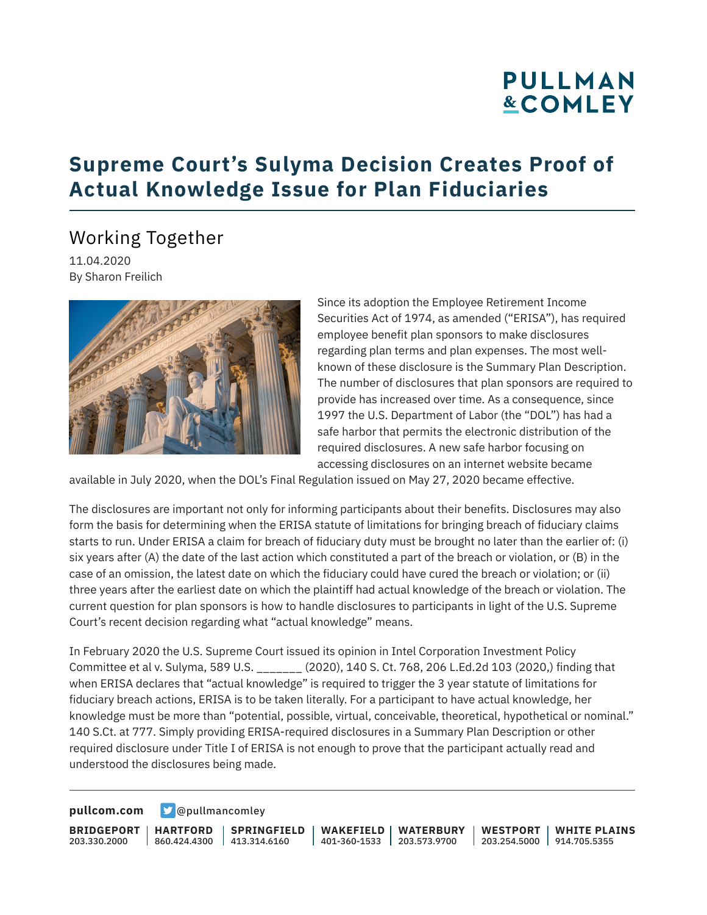### **Supreme Court's Sulyma Decision Creates Proof of Actual Knowledge Issue for Plan Fiduciaries**

### Working Together

11.04.2020 By Sharon Freilich



Since its adoption the Employee Retirement Income Securities Act of 1974, as amended ("ERISA"), has required employee benefit plan sponsors to make disclosures regarding plan terms and plan expenses. The most wellknown of these disclosure is the Summary Plan Description. The number of disclosures that plan sponsors are required to provide has increased over time. As a consequence, since 1997 the U.S. Department of Labor (the "DOL") has had a safe harbor that permits the electronic distribution of the required disclosures. A new safe harbor focusing on accessing disclosures on an internet website became

available in July 2020, when the DOL's Final Regulation issued on May 27, 2020 became effective.

The disclosures are important not only for informing participants about their benefits. Disclosures may also form the basis for determining when the ERISA statute of limitations for bringing breach of fiduciary claims starts to run. Under ERISA a claim for breach of fiduciary duty must be brought no later than the earlier of: (i) six years after (A) the date of the last action which constituted a part of the breach or violation, or (B) in the case of an omission, the latest date on which the fiduciary could have cured the breach or violation; or (ii) three years after the earliest date on which the plaintiff had actual knowledge of the breach or violation. The current question for plan sponsors is how to handle disclosures to participants in light of the U.S. Supreme Court's recent decision regarding what "actual knowledge" means.

In February 2020 the U.S. Supreme Court issued its opinion in Intel Corporation Investment Policy Committee et al v. Sulyma, 589 U.S. \_\_\_\_\_\_\_ (2020), 140 S. Ct. 768, 206 L.Ed.2d 103 (2020,) finding that when ERISA declares that "actual knowledge" is required to trigger the 3 year statute of limitations for fiduciary breach actions, ERISA is to be taken literally. For a participant to have actual knowledge, her knowledge must be more than "potential, possible, virtual, conceivable, theoretical, hypothetical or nominal." 140 S.Ct. at 777. Simply providing ERISA-required disclosures in a Summary Plan Description or other required disclosure under Title I of ERISA is not enough to prove that the participant actually read and understood the disclosures being made.

#### **[pullcom.com](https://www.pullcom.com) g** [@pullmancomley](https://twitter.com/PullmanComley)

**BRIDGEPORT** 203.330.2000

**HARTFORD**

860.424.4300 413.314.6160 **SPRINGFIELD** **WAKEFIELD** 401-360-1533 203.573.9700 **WATERBURY**

**WESTPORT WHITE PLAINS** 203.254.5000 914.705.5355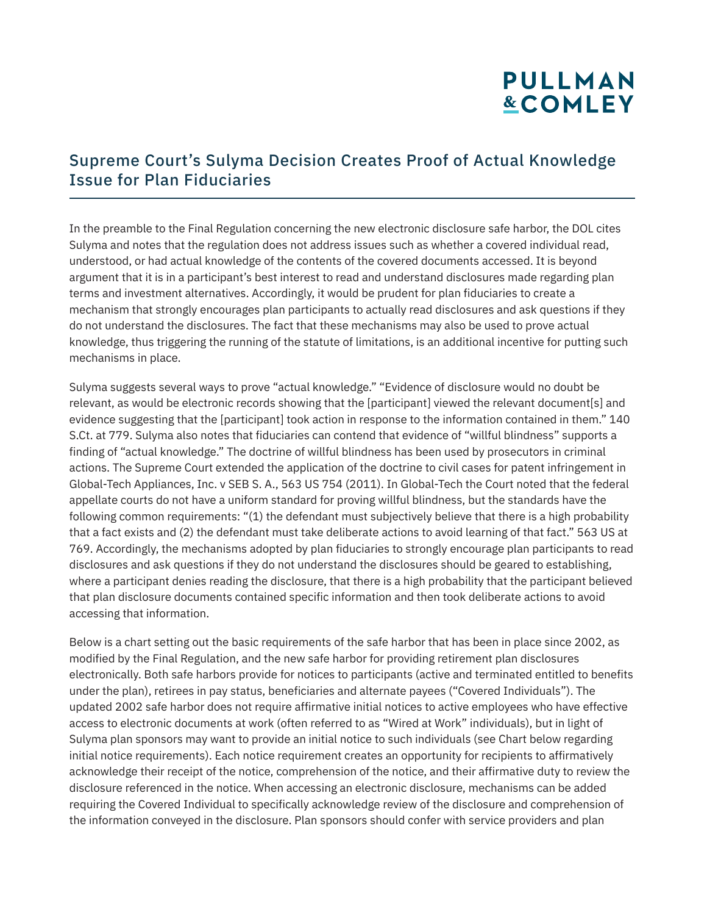#### Supreme Court's Sulyma Decision Creates Proof of Actual Knowledge Issue for Plan Fiduciaries

In the preamble to the Final Regulation concerning the new electronic disclosure safe harbor, the DOL cites Sulyma and notes that the regulation does not address issues such as whether a covered individual read, understood, or had actual knowledge of the contents of the covered documents accessed. It is beyond argument that it is in a participant's best interest to read and understand disclosures made regarding plan terms and investment alternatives. Accordingly, it would be prudent for plan fiduciaries to create a mechanism that strongly encourages plan participants to actually read disclosures and ask questions if they do not understand the disclosures. The fact that these mechanisms may also be used to prove actual knowledge, thus triggering the running of the statute of limitations, is an additional incentive for putting such mechanisms in place.

Sulyma suggests several ways to prove "actual knowledge." "Evidence of disclosure would no doubt be relevant, as would be electronic records showing that the [participant] viewed the relevant document[s] and evidence suggesting that the [participant] took action in response to the information contained in them." 140 S.Ct. at 779. Sulyma also notes that fiduciaries can contend that evidence of "willful blindness" supports a finding of "actual knowledge." The doctrine of willful blindness has been used by prosecutors in criminal actions. The Supreme Court extended the application of the doctrine to civil cases for patent infringement in Global-Tech Appliances, Inc. v SEB S. A., 563 US 754 (2011). In Global-Tech the Court noted that the federal appellate courts do not have a uniform standard for proving willful blindness, but the standards have the following common requirements: "(1) the defendant must subjectively believe that there is a high probability that a fact exists and (2) the defendant must take deliberate actions to avoid learning of that fact." 563 US at 769. Accordingly, the mechanisms adopted by plan fiduciaries to strongly encourage plan participants to read disclosures and ask questions if they do not understand the disclosures should be geared to establishing, where a participant denies reading the disclosure, that there is a high probability that the participant believed that plan disclosure documents contained specific information and then took deliberate actions to avoid accessing that information.

Below is a chart setting out the basic requirements of the safe harbor that has been in place since 2002, as modified by the Final Regulation, and the new safe harbor for providing retirement plan disclosures electronically. Both safe harbors provide for notices to participants (active and terminated entitled to benefits under the plan), retirees in pay status, beneficiaries and alternate payees ("Covered Individuals"). The updated 2002 safe harbor does not require affirmative initial notices to active employees who have effective access to electronic documents at work (often referred to as "Wired at Work" individuals), but in light of Sulyma plan sponsors may want to provide an initial notice to such individuals (see Chart below regarding initial notice requirements). Each notice requirement creates an opportunity for recipients to affirmatively acknowledge their receipt of the notice, comprehension of the notice, and their affirmative duty to review the disclosure referenced in the notice. When accessing an electronic disclosure, mechanisms can be added requiring the Covered Individual to specifically acknowledge review of the disclosure and comprehension of the information conveyed in the disclosure. Plan sponsors should confer with service providers and plan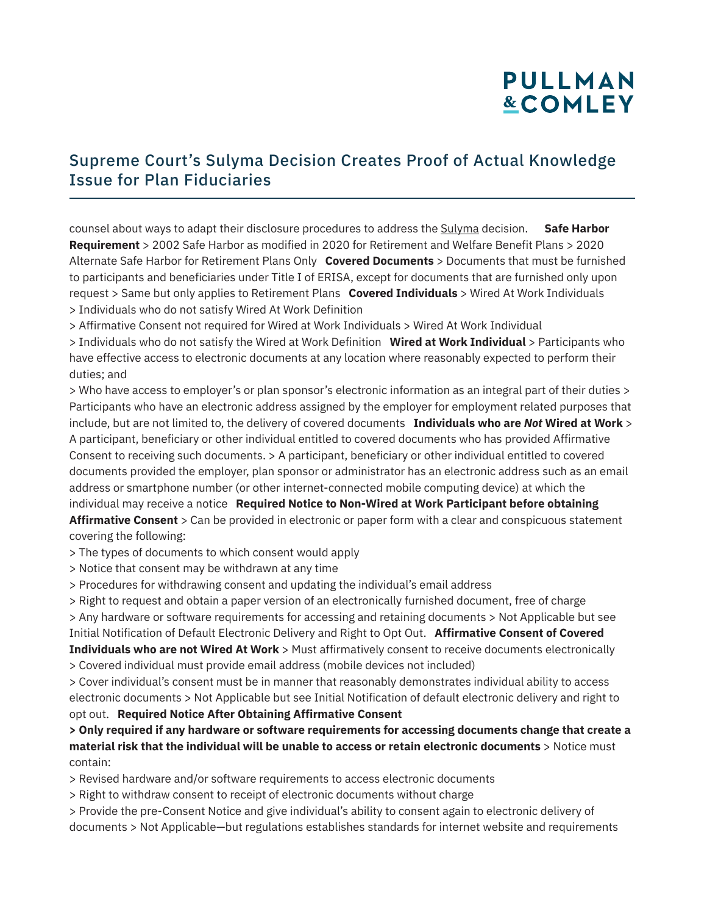#### Supreme Court's Sulyma Decision Creates Proof of Actual Knowledge Issue for Plan Fiduciaries

counsel about ways to adapt their disclosure procedures to address the Sulyma decision. **Safe Harbor Requirement** > 2002 Safe Harbor as modified in 2020 for Retirement and Welfare Benefit Plans > 2020 Alternate Safe Harbor for Retirement Plans Only **Covered Documents** > Documents that must be furnished to participants and beneficiaries under Title I of ERISA, except for documents that are furnished only upon request > Same but only applies to Retirement Plans **Covered Individuals** > Wired At Work Individuals > Individuals who do not satisfy Wired At Work Definition

> Affirmative Consent not required for Wired at Work Individuals > Wired At Work Individual

> Individuals who do not satisfy the Wired at Work Definition **Wired at Work Individual** > Participants who have effective access to electronic documents at any location where reasonably expected to perform their duties; and

> Who have access to employer's or plan sponsor's electronic information as an integral part of their duties > Participants who have an electronic address assigned by the employer for employment related purposes that include, but are not limited to, the delivery of covered documents **Individuals who are** *Not* **Wired at Work** > A participant, beneficiary or other individual entitled to covered documents who has provided Affirmative Consent to receiving such documents. > A participant, beneficiary or other individual entitled to covered documents provided the employer, plan sponsor or administrator has an electronic address such as an email address or smartphone number (or other internet-connected mobile computing device) at which the individual may receive a notice **Required Notice to Non-Wired at Work Participant before obtaining Affirmative Consent** > Can be provided in electronic or paper form with a clear and conspicuous statement covering the following:

> The types of documents to which consent would apply

- > Notice that consent may be withdrawn at any time
- > Procedures for withdrawing consent and updating the individual's email address

> Right to request and obtain a paper version of an electronically furnished document, free of charge

> Any hardware or software requirements for accessing and retaining documents > Not Applicable but see Initial Notification of Default Electronic Delivery and Right to Opt Out. **Affirmative Consent of Covered Individuals who are not Wired At Work** > Must affirmatively consent to receive documents electronically

> Covered individual must provide email address (mobile devices not included)

> Cover individual's consent must be in manner that reasonably demonstrates individual ability to access electronic documents > Not Applicable but see Initial Notification of default electronic delivery and right to opt out. **Required Notice After Obtaining Affirmative Consent** 

**> Only required if any hardware or software requirements for accessing documents change that create a material risk that the individual will be unable to access or retain electronic documents** > Notice must contain:

> Revised hardware and/or software requirements to access electronic documents

> Right to withdraw consent to receipt of electronic documents without charge

> Provide the pre-Consent Notice and give individual's ability to consent again to electronic delivery of documents > Not Applicable—but regulations establishes standards for internet website and requirements